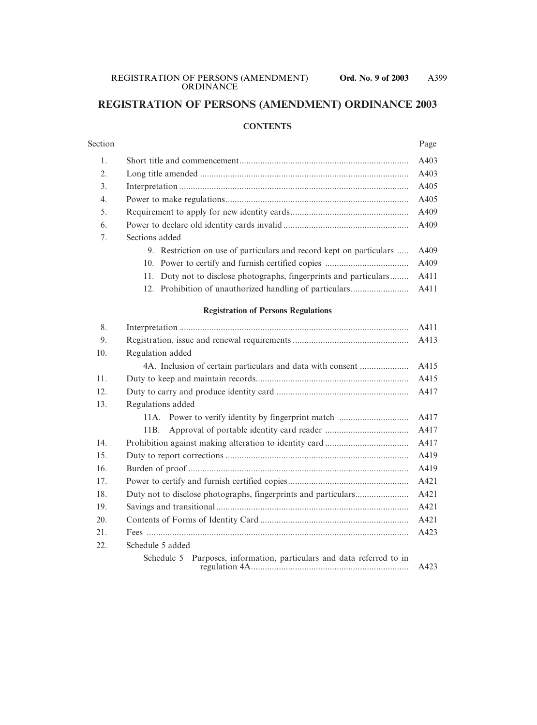# **REGISTRATION OF PERSONS (AMENDMENT) ORDINANCE 2003**

#### **CONTENTS**

# Section Page 1. Short title and commencement......................................................................... A403 2. Long title amended .......................................................................................... A403 3. Interpretation ................................................................................................... A405 4. Power to make regulations............................................................................... A405 5. Requirement to apply for new identity cards................................................... A409 6. Power to declare old identity cards invalid ...................................................... A409 7. Sections added 9. Restriction on use of particulars and record kept on particulars ..... A409

- 10. Power to certify and furnish certified copies .................................... A409 11. Duty not to disclose photographs, fingerprints and particulars........ A411
- 12. Prohibition of unauthorized handling of particulars......................... A411

#### **Registration of Persons Regulations**

| 8.  |                                                                          | A411 |  |  |
|-----|--------------------------------------------------------------------------|------|--|--|
| 9.  |                                                                          |      |  |  |
| 10. | Regulation added                                                         |      |  |  |
|     | 4A. Inclusion of certain particulars and data with consent               | A415 |  |  |
| 11. |                                                                          |      |  |  |
| 12. | A417                                                                     |      |  |  |
| 13. | Regulations added                                                        |      |  |  |
|     |                                                                          | A417 |  |  |
|     | 11B.                                                                     | A417 |  |  |
| 14. |                                                                          |      |  |  |
| 15. |                                                                          |      |  |  |
| 16. |                                                                          |      |  |  |
| 17. | A421                                                                     |      |  |  |
| 18. | A421                                                                     |      |  |  |
| 19. | A421                                                                     |      |  |  |
| 20. | A421                                                                     |      |  |  |
| 21. | A423                                                                     |      |  |  |
| 22. | Schedule 5 added                                                         |      |  |  |
|     | Purposes, information, particulars and data referred to in<br>Schedule 5 | A423 |  |  |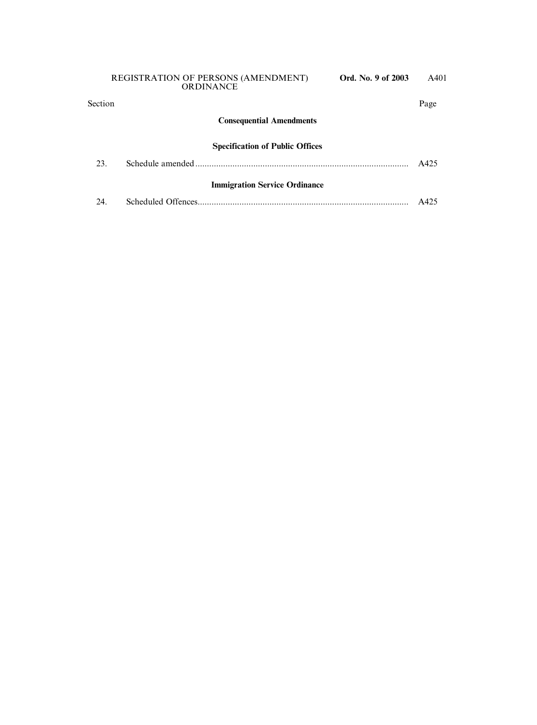# **Consequential Amendments**

#### **Specification of Public Offices**

| 23.                                  |  |                 |  |  |  |  |
|--------------------------------------|--|-----------------|--|--|--|--|
| <b>Immigration Service Ordinance</b> |  |                 |  |  |  |  |
| 24                                   |  | $\triangle$ 425 |  |  |  |  |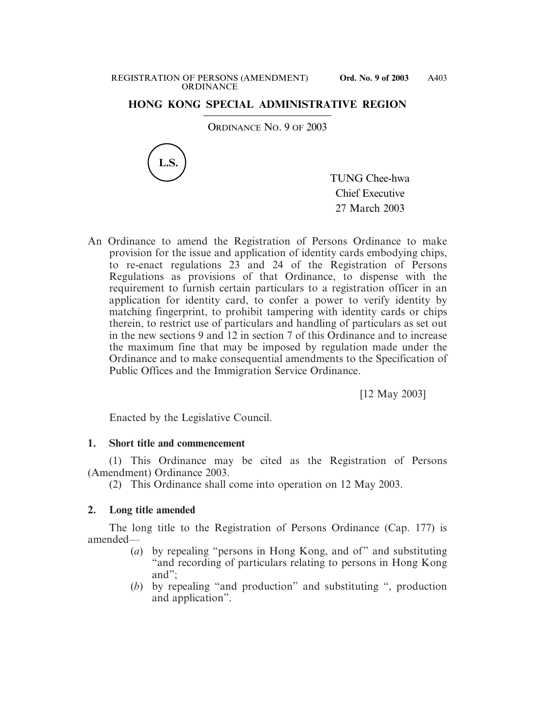## **HONG KONG SPECIAL ADMINISTRATIVE REGION**

ORDINANCE NO. 9 OF 2003



TUNG Chee-hwa Chief Executive 27 March 2003

An Ordinance to amend the Registration of Persons Ordinance to make provision for the issue and application of identity cards embodying chips, to re-enact regulations 23 and 24 of the Registration of Persons Regulations as provisions of that Ordinance, to dispense with the requirement to furnish certain particulars to a registration officer in an application for identity card, to confer a power to verify identity by matching fingerprint, to prohibit tampering with identity cards or chips therein, to restrict use of particulars and handling of particulars as set out in the new sections 9 and 12 in section 7 of this Ordinance and to increase the maximum fine that may be imposed by regulation made under the Ordinance and to make consequential amendments to the Specification of Public Offices and the Immigration Service Ordinance.

[12 May 2003]

Enacted by the Legislative Council.

#### **1. Short title and commencement**

(1) This Ordinance may be cited as the Registration of Persons (Amendment) Ordinance 2003.

(2) This Ordinance shall come into operation on 12 May 2003.

#### **2. Long title amended**

The long title to the Registration of Persons Ordinance (Cap. 177) is amended—

- (*a*) by repealing "persons in Hong Kong, and of" and substituting "and recording of particulars relating to persons in Hong Kong and";
- (*b*) by repealing "and production" and substituting ", production and application".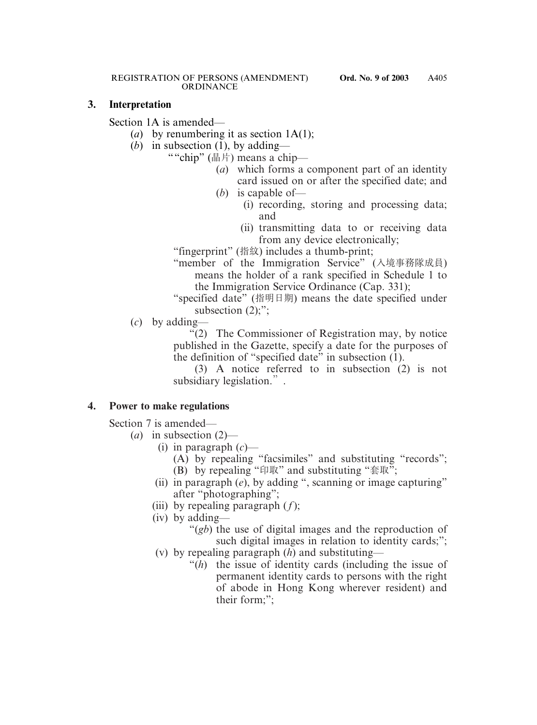#### **3. Interpretation**

Section 1A is amended—

- (*a*) by renumbering it as section 1A(1);
- (*b*) in subsection  $(\overline{1})$ , by adding—
	- ""chip" (晶片) means a chip—
		- (*a*) which forms a component part of an identity card issued on or after the specified date; and
		- (*b*) is capable of—
			- (i) recording, storing and processing data; and
			- (ii) transmitting data to or receiving data from any device electronically;

"fingerprint" (指紋) includes a thumb-print;

- "member of the Immigration Service" (入境事務隊成員) means the holder of a rank specified in Schedule 1 to the Immigration Service Ordinance (Cap. 331);
- "specified date" (指明日期) means the date specified under subsection  $(2)$ ;";

(*c*) by adding—

"(2) The Commissioner of Registration may, by notice published in the Gazette, specify a date for the purposes of the definition of "specified date" in subsection  $(1)$ .

(3) A notice referred to in subsection (2) is not subsidiary legislation.".

# **4. Power to make regulations**

Section 7 is amended—

- (*a*) in subsection (2)—
	- (i) in paragraph (*c*)—
		- (A) by repealing "facsimiles" and substituting "records"; (B) by repealing "印取" and substituting "套取";
	- (ii) in paragraph (*e*), by adding ", scanning or image capturing" after "photographing";
	- (iii) by repealing paragraph (*f*);
	- (iv) by adding—
		- "(*gb*) the use of digital images and the reproduction of such digital images in relation to identity cards;";
	- (v) by repealing paragraph (*h*) and substituting—
		- "(*h*) the issue of identity cards (including the issue of permanent identity cards to persons with the right of abode in Hong Kong wherever resident) and their form;";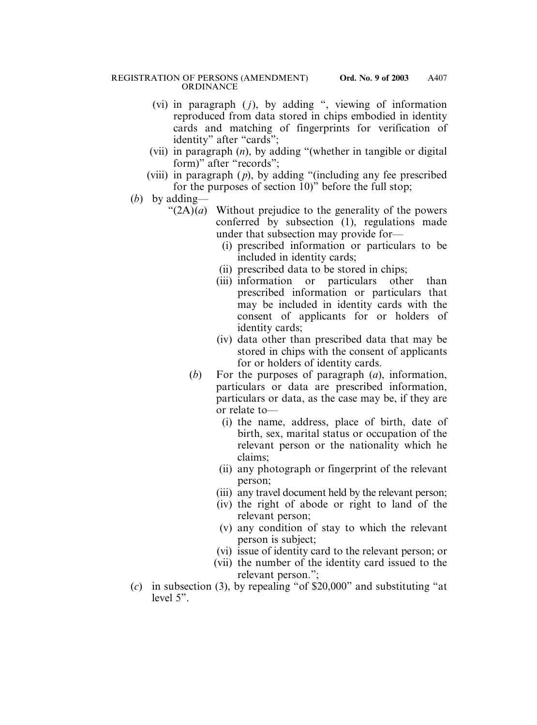- (vi) in paragraph  $(j)$ , by adding ", viewing of information reproduced from data stored in chips embodied in identity cards and matching of fingerprints for verification of identity" after "cards";
- (vii) in paragraph (*n*), by adding "(whether in tangible or digital form)" after "records";
- (viii) in paragraph ( *p*), by adding "(including any fee prescribed for the purposes of section 10)" before the full stop;
- (*b*) by adding—
	- " $(2A)(a)$  Without prejudice to the generality of the powers conferred by subsection (1), regulations made under that subsection may provide for—
		- (i) prescribed information or particulars to be included in identity cards;
		- (ii) prescribed data to be stored in chips;
		- (iii) information or particulars other than prescribed information or particulars that may be included in identity cards with the consent of applicants for or holders of identity cards;
		- (iv) data other than prescribed data that may be stored in chips with the consent of applicants for or holders of identity cards.
		- (*b*) For the purposes of paragraph (*a*), information, particulars or data are prescribed information, particulars or data, as the case may be, if they are or relate to—
			- (i) the name, address, place of birth, date of birth, sex, marital status or occupation of the relevant person or the nationality which he claims;
			- (ii) any photograph or fingerprint of the relevant person;
			- (iii) any travel document held by the relevant person;
			- (iv) the right of abode or right to land of the relevant person;
			- (v) any condition of stay to which the relevant person is subject;
			- (vi) issue of identity card to the relevant person; or
			- (vii) the number of the identity card issued to the relevant person.";
- (*c*) in subsection (3), by repealing "of \$20,000" and substituting "at level 5".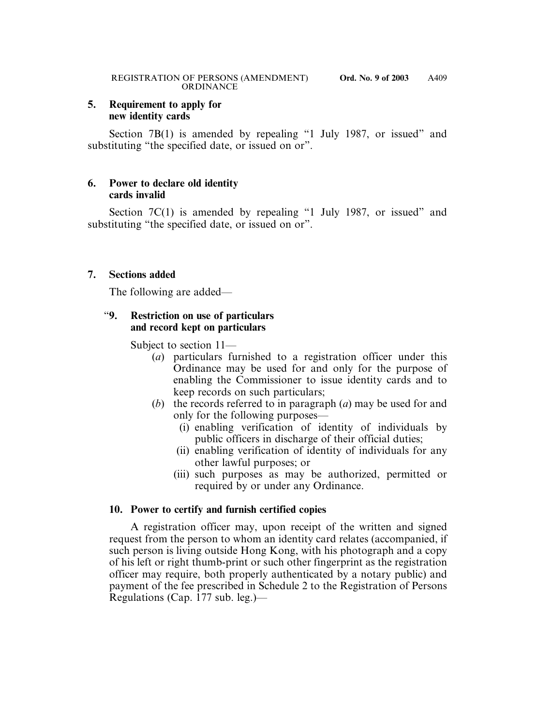#### **5. Requirement to apply for new identity cards**

Section 7B(1) is amended by repealing "1 July 1987, or issued" and substituting "the specified date, or issued on or".

# **6. Power to declare old identity cards invalid**

Section 7C(1) is amended by repealing "1 July 1987, or issued" and substituting "the specified date, or issued on or".

# **7. Sections added**

The following are added—

# "**9. Restriction on use of particulars and record kept on particulars**

Subject to section 11—

- (*a*) particulars furnished to a registration officer under this Ordinance may be used for and only for the purpose of enabling the Commissioner to issue identity cards and to keep records on such particulars;
- (*b*) the records referred to in paragraph (*a*) may be used for and only for the following purposes—
	- (i) enabling verification of identity of individuals by public officers in discharge of their official duties;
	- (ii) enabling verification of identity of individuals for any other lawful purposes; or
	- (iii) such purposes as may be authorized, permitted or required by or under any Ordinance.

# **10. Power to certify and furnish certified copies**

A registration officer may, upon receipt of the written and signed request from the person to whom an identity card relates (accompanied, if such person is living outside Hong Kong, with his photograph and a copy of his left or right thumb-print or such other fingerprint as the registration officer may require, both properly authenticated by a notary public) and payment of the fee prescribed in Schedule 2 to the Registration of Persons Regulations (Cap. 177 sub. leg.)—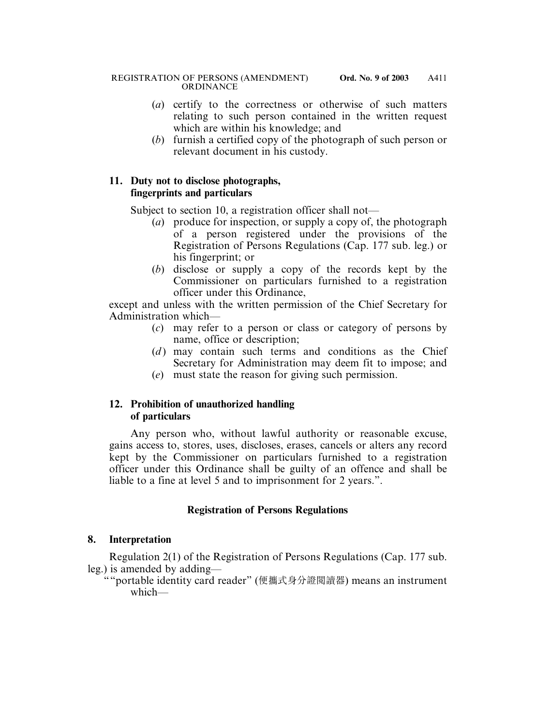- (*a*) certify to the correctness or otherwise of such matters relating to such person contained in the written request which are within his knowledge; and
- (*b*) furnish a certified copy of the photograph of such person or relevant document in his custody.

## **11. Duty not to disclose photographs, fingerprints and particulars**

Subject to section 10, a registration officer shall not—

- (*a*) produce for inspection, or supply a copy of, the photograph of a person registered under the provisions of the Registration of Persons Regulations (Cap. 177 sub. leg.) or his fingerprint; or
- (*b*) disclose or supply a copy of the records kept by the Commissioner on particulars furnished to a registration officer under this Ordinance,

except and unless with the written permission of the Chief Secretary for Administration which—

- (*c*) may refer to a person or class or category of persons by name, office or description;
- (*d*) may contain such terms and conditions as the Chief Secretary for Administration may deem fit to impose; and
- (*e*) must state the reason for giving such permission.

# **12. Prohibition of unauthorized handling of particulars**

Any person who, without lawful authority or reasonable excuse, gains access to, stores, uses, discloses, erases, cancels or alters any record kept by the Commissioner on particulars furnished to a registration officer under this Ordinance shall be guilty of an offence and shall be liable to a fine at level 5 and to imprisonment for 2 years.".

# **Registration of Persons Regulations**

# **8. Interpretation**

Regulation 2(1) of the Registration of Persons Regulations (Cap. 177 sub. leg.) is amended by adding—

""portable identity card reader" (便攜式身分證閱讀器) means an instrument which—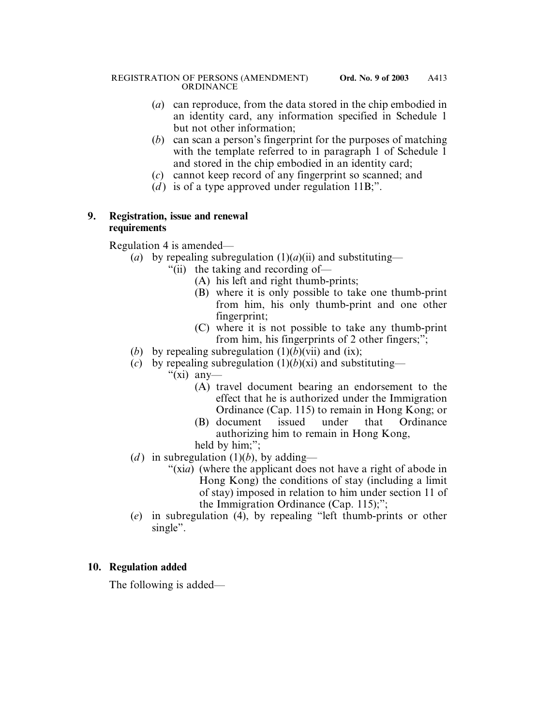- (*a*) can reproduce, from the data stored in the chip embodied in an identity card, any information specified in Schedule 1 but not other information;
- (*b*) can scan a person's fingerprint for the purposes of matching with the template referred to in paragraph 1 of Schedule 1 and stored in the chip embodied in an identity card;
- (*c*) cannot keep record of any fingerprint so scanned; and
- (*d*) is of a type approved under regulation  $11B$ ;".

# **9. Registration, issue and renewal requirements**

Regulation 4 is amended—

- (*a*) by repealing subregulation  $(1)(a)(ii)$  and substituting—
	- "(ii) the taking and recording of—
		- (A) his left and right thumb-prints;
		- (B) where it is only possible to take one thumb-print from him, his only thumb-print and one other fingerprint;
		- (C) where it is not possible to take any thumb-print from him, his fingerprints of 2 other fingers;";
- (*b*) by repealing subregulation  $(1)(b)(vii)$  and  $(ix)$ ;
- (*c*) by repealing subregulation  $(1)(b)(xi)$  and substituting—

" $(xi)$  any—

- (A) travel document bearing an endorsement to the effect that he is authorized under the Immigration Ordinance (Cap. 115) to remain in Hong Kong; or
- (B) document issued under that Ordinance authorizing him to remain in Hong Kong,
- held by him;";
- (*d*) in subregulation (1)(*b*), by adding—
	- "(xi*a*) (where the applicant does not have a right of abode in Hong Kong) the conditions of stay (including a limit of stay) imposed in relation to him under section 11 of the Immigration Ordinance (Cap. 115);";
- (*e*) in subregulation (4), by repealing "left thumb-prints or other single".

# **10. Regulation added**

The following is added—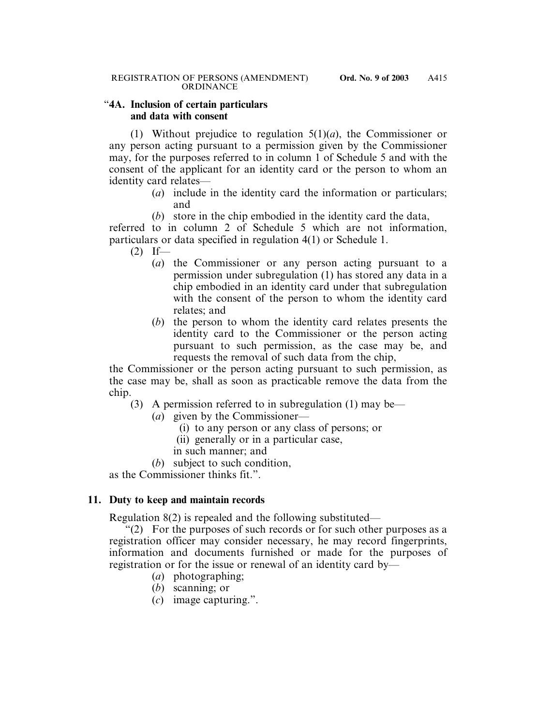#### "**4A. Inclusion of certain particulars and data with consent**

(1) Without prejudice to regulation 5(1)(*a*), the Commissioner or any person acting pursuant to a permission given by the Commissioner may, for the purposes referred to in column 1 of Schedule 5 and with the consent of the applicant for an identity card or the person to whom an identity card relates—

- (*a*) include in the identity card the information or particulars; and
- (*b*) store in the chip embodied in the identity card the data,

referred to in column 2 of Schedule 5 which are not information, particulars or data specified in regulation 4(1) or Schedule 1.

- $(2)$  If—
	- (*a*) the Commissioner or any person acting pursuant to a permission under subregulation (1) has stored any data in a chip embodied in an identity card under that subregulation with the consent of the person to whom the identity card relates; and
	- (*b*) the person to whom the identity card relates presents the identity card to the Commissioner or the person acting pursuant to such permission, as the case may be, and requests the removal of such data from the chip,

the Commissioner or the person acting pursuant to such permission, as the case may be, shall as soon as practicable remove the data from the chip.

- (3) A permission referred to in subregulation (1) may be—
	- (*a*) given by the Commissioner—
		- (i) to any person or any class of persons; or
		- (ii) generally or in a particular case,
		- in such manner; and
	- (*b*) subject to such condition,

as the Commissioner thinks fit.".

#### **11. Duty to keep and maintain records**

Regulation 8(2) is repealed and the following substituted—

 $(2)$  For the purposes of such records or for such other purposes as a registration officer may consider necessary, he may record fingerprints, information and documents furnished or made for the purposes of registration or for the issue or renewal of an identity card by—

- (*a*) photographing;
- (*b*) scanning; or
- (*c*) image capturing.".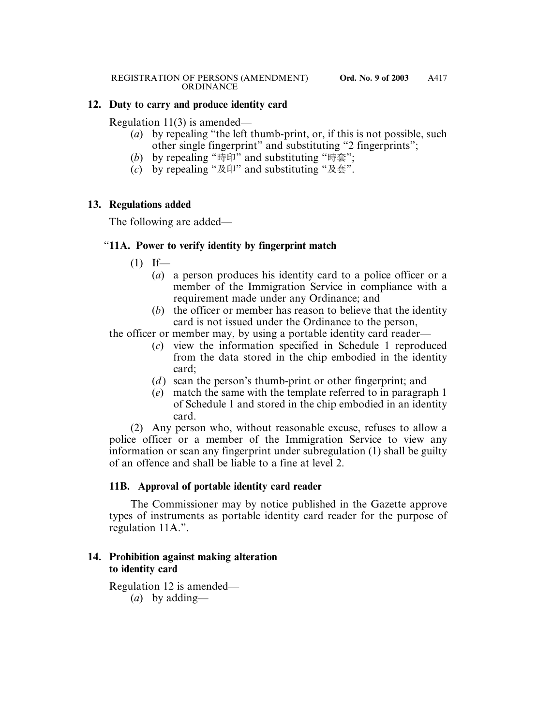### **12. Duty to carry and produce identity card**

Regulation 11(3) is amended—

- (*a*) by repealing "the left thumb-print, or, if this is not possible, such other single fingerprint" and substituting "2 fingerprints";
- (b) by repealing "時印" and substituting "時套";
- (*c*) by repealing "及印" and substituting "及套".

### **13. Regulations added**

The following are added—

# "**11A. Power to verify identity by fingerprint match**

- $(1)$  If—
	- (*a*) a person produces his identity card to a police officer or a member of the Immigration Service in compliance with a requirement made under any Ordinance; and
	- (*b*) the officer or member has reason to believe that the identity card is not issued under the Ordinance to the person,

the officer or member may, by using a portable identity card reader—

- (*c*) view the information specified in Schedule 1 reproduced from the data stored in the chip embodied in the identity card;
- (*d*) scan the person's thumb-print or other fingerprint; and
- (*e*) match the same with the template referred to in paragraph 1 of Schedule 1 and stored in the chip embodied in an identity card.

(2) Any person who, without reasonable excuse, refuses to allow a police officer or a member of the Immigration Service to view any information or scan any fingerprint under subregulation (1) shall be guilty of an offence and shall be liable to a fine at level 2.

# **11B. Approval of portable identity card reader**

The Commissioner may by notice published in the Gazette approve types of instruments as portable identity card reader for the purpose of regulation 11A.".

# **14. Prohibition against making alteration to identity card**

Regulation 12 is amended— (*a*) by adding—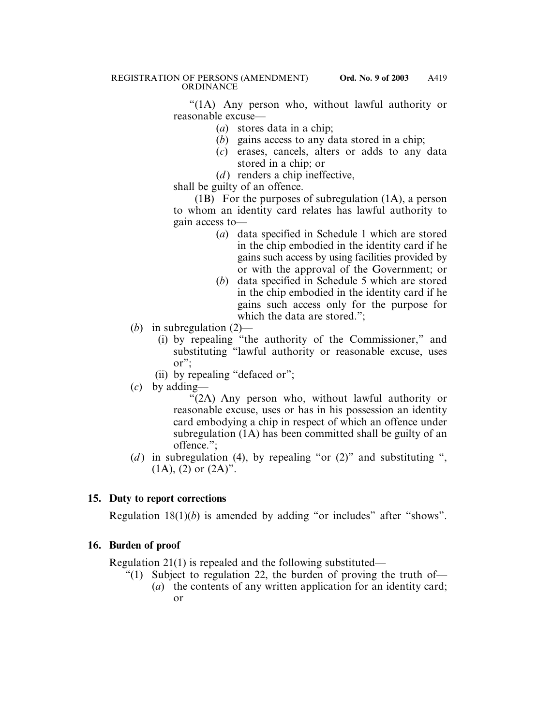"(1A) Any person who, without lawful authority or reasonable excuse—

- (*a*) stores data in a chip;
- (*b*) gains access to any data stored in a chip;
- (*c*) erases, cancels, alters or adds to any data stored in a chip; or
- $(d)$  renders a chip ineffective,

shall be guilty of an offence.

(1B) For the purposes of subregulation (1A), a person to whom an identity card relates has lawful authority to gain access to—

- (*a*) data specified in Schedule 1 which are stored in the chip embodied in the identity card if he gains such access by using facilities provided by or with the approval of the Government; or
- (*b*) data specified in Schedule 5 which are stored in the chip embodied in the identity card if he gains such access only for the purpose for which the data are stored.";
- (*b*) in subregulation (2)—
	- (i) by repealing "the authority of the Commissioner," and substituting "lawful authority or reasonable excuse, uses or";
	- (ii) by repealing "defaced or";
- (*c*) by adding—

"(2A) Any person who, without lawful authority or reasonable excuse, uses or has in his possession an identity card embodying a chip in respect of which an offence under subregulation (1A) has been committed shall be guilty of an offence.";

(*d*) in subregulation (4), by repealing "or  $(2)$ " and substituting ",  $(1A)$ ,  $(2)$  or  $(2A)$ ".

# **15. Duty to report corrections**

Regulation 18(1)(*b*) is amended by adding "or includes" after "shows".

# **16. Burden of proof**

Regulation 21(1) is repealed and the following substituted—

"(1) Subject to regulation 22, the burden of proving the truth of— (*a*) the contents of any written application for an identity card; or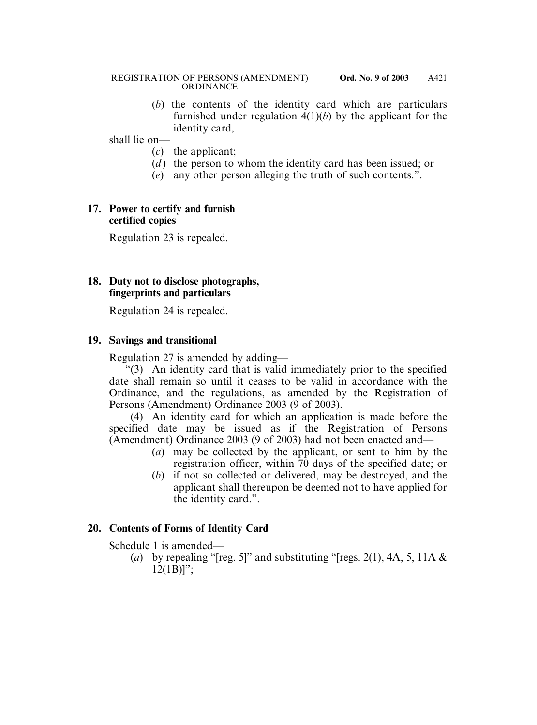#### REGISTRATION OF PERSONS (AMENDMENT) **Ord. No. 9 of 2003** ORDINANCE

(*b*) the contents of the identity card which are particulars furnished under regulation  $4(1)(b)$  by the applicant for the identity card,

shall lie on—

- (*c*) the applicant;
- (*d*) the person to whom the identity card has been issued; or
- (*e*) any other person alleging the truth of such contents.".

## **17. Power to certify and furnish certified copies**

Regulation 23 is repealed.

## **18. Duty not to disclose photographs, fingerprints and particulars**

Regulation 24 is repealed.

# **19. Savings and transitional**

Regulation 27 is amended by adding—

 $(3)$  An identity card that is valid immediately prior to the specified date shall remain so until it ceases to be valid in accordance with the Ordinance, and the regulations, as amended by the Registration of Persons (Amendment) Ordinance 2003 (9 of 2003).

(4) An identity card for which an application is made before the specified date may be issued as if the Registration of Persons (Amendment) Ordinance 2003 (9 of 2003) had not been enacted and—

- (*a*) may be collected by the applicant, or sent to him by the registration officer, within 70 days of the specified date; or
- (*b*) if not so collected or delivered, may be destroyed, and the applicant shall thereupon be deemed not to have applied for the identity card.".

# **20. Contents of Forms of Identity Card**

Schedule 1 is amended—

(*a*) by repealing "[reg. 5]" and substituting "[regs. 2(1), 4A, 5, 11A  $\&$  $12(1B)$ ";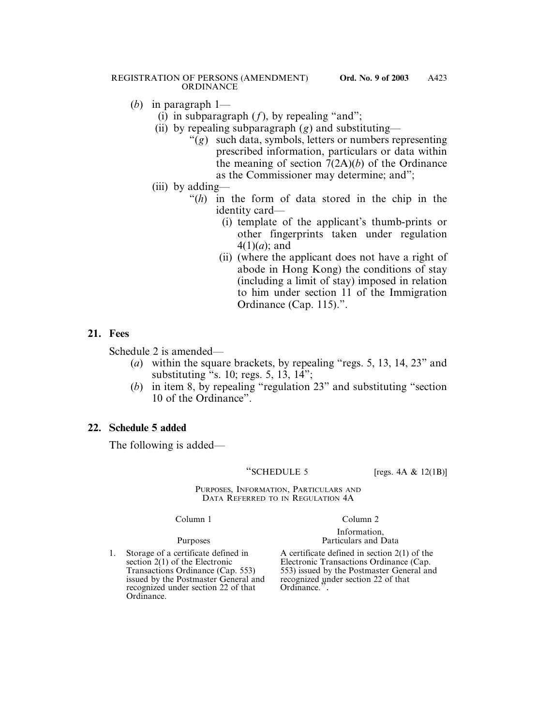#### REGISTRATION OF PERSONS (AMENDMENT) **Ord. No. 9 of 2003** ORDINANCE

- (*b*) in paragraph 1—
	- (i) in subparagraph  $(f)$ , by repealing "and";
	- (ii) by repealing subparagraph (*g*) and substituting—
		- "(*g*) such data, symbols, letters or numbers representing prescribed information, particulars or data within the meaning of section 7(2A)(*b*) of the Ordinance as the Commissioner may determine; and";
	- (iii) by adding—
		- "(*h*) in the form of data stored in the chip in the identity card—
			- (i) template of the applicant's thumb-prints or other fingerprints taken under regulation 4(1)(*a*); and
			- (ii) (where the applicant does not have a right of abode in Hong Kong) the conditions of stay (including a limit of stay) imposed in relation to him under section 11 of the Immigration Ordinance (Cap. 115).".

# **21. Fees**

Schedule 2 is amended—

- (*a*) within the square brackets, by repealing "regs. 5, 13, 14, 23" and substituting  $\cdot$ s. 10; regs. 5, 13, 14";
- (*b*) in item 8, by repealing "regulation 23" and substituting "section 10 of the Ordinance".

# **22. Schedule 5 added**

The following is added—

"SCHEDULE 5  $[{\text{regs. 4A & 12(1B)}}]$ 

PURPOSES, INFORMATION, PARTICULARS AND DATA REFERRED TO IN REGULATION 4A

1. Storage of a certificate defined in A certificate defined in section 2(1) of the section 2(1) of the Electronic Transactions Ordinance (Cap. issued by the Postmaster General and recognized under section 22 of that Ordinance.". recognized under section 22 of that Ordinance.

#### Column 1 Column 2

#### Information, Purposes Particulars and Data

section 2(1) of the Electronic Electronic Transactions Ordinance (Cap. Transactions Ordinance (Cap. 553) issued by the Postmaster General an 553) issued by the Postmaster General and<br>recognized under section 22 of that